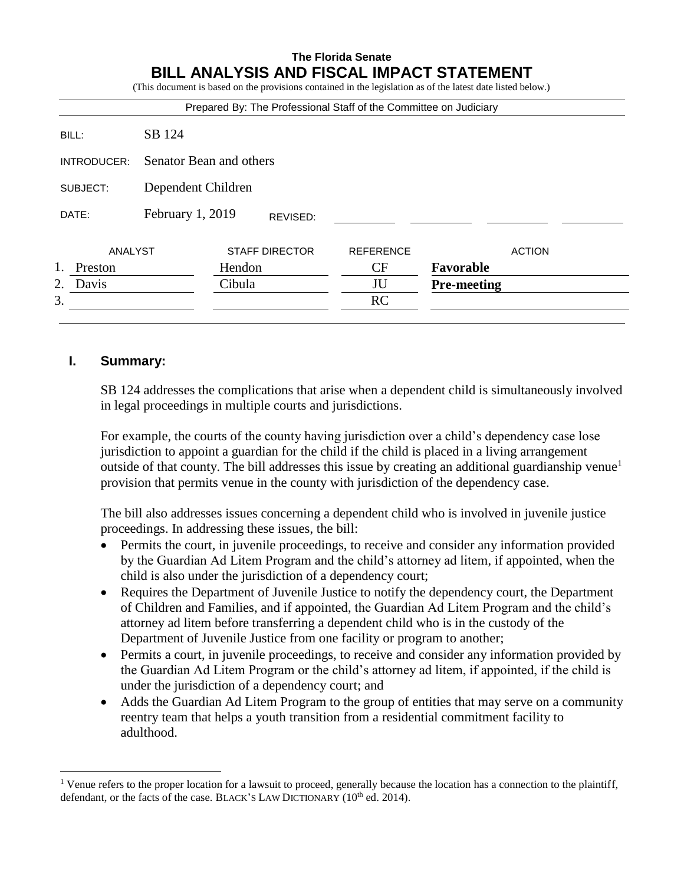# **The Florida Senate BILL ANALYSIS AND FISCAL IMPACT STATEMENT**

(This document is based on the provisions contained in the legislation as of the latest date listed below.)

| Prepared By: The Professional Staff of the Committee on Judiciary |                              |        |                       |                  |                    |               |
|-------------------------------------------------------------------|------------------------------|--------|-----------------------|------------------|--------------------|---------------|
| BILL:                                                             | SB 124                       |        |                       |                  |                    |               |
| INTRODUCER:                                                       | Senator Bean and others      |        |                       |                  |                    |               |
| SUBJECT:                                                          | Dependent Children           |        |                       |                  |                    |               |
| DATE:                                                             | February 1, 2019<br>REVISED: |        |                       |                  |                    |               |
| ANALYST                                                           |                              |        | <b>STAFF DIRECTOR</b> | <b>REFERENCE</b> |                    | <b>ACTION</b> |
| Preston                                                           |                              | Hendon |                       | CF               | Favorable          |               |
| 2.<br>Davis                                                       |                              | Cibula |                       | JU               | <b>Pre-meeting</b> |               |
| 3.                                                                |                              |        |                       | RC               |                    |               |
|                                                                   |                              |        |                       |                  |                    |               |

# **I. Summary:**

 $\overline{a}$ 

SB 124 addresses the complications that arise when a dependent child is simultaneously involved in legal proceedings in multiple courts and jurisdictions.

For example, the courts of the county having jurisdiction over a child's dependency case lose jurisdiction to appoint a guardian for the child if the child is placed in a living arrangement outside of that county. The bill addresses this issue by creating an additional guardianship venue<sup>1</sup> provision that permits venue in the county with jurisdiction of the dependency case.

The bill also addresses issues concerning a dependent child who is involved in juvenile justice proceedings. In addressing these issues, the bill:

- Permits the court, in juvenile proceedings, to receive and consider any information provided by the Guardian Ad Litem Program and the child's attorney ad litem, if appointed, when the child is also under the jurisdiction of a dependency court;
- Requires the Department of Juvenile Justice to notify the dependency court, the Department of Children and Families, and if appointed, the Guardian Ad Litem Program and the child's attorney ad litem before transferring a dependent child who is in the custody of the Department of Juvenile Justice from one facility or program to another;
- Permits a court, in juvenile proceedings, to receive and consider any information provided by the Guardian Ad Litem Program or the child's attorney ad litem, if appointed, if the child is under the jurisdiction of a dependency court; and
- Adds the Guardian Ad Litem Program to the group of entities that may serve on a community reentry team that helps a youth transition from a residential commitment facility to adulthood.

<sup>&</sup>lt;sup>1</sup> Venue refers to the proper location for a lawsuit to proceed, generally because the location has a connection to the plaintiff, defendant, or the facts of the case. BLACK'S LAW DICTIONARY (10<sup>th</sup> ed. 2014).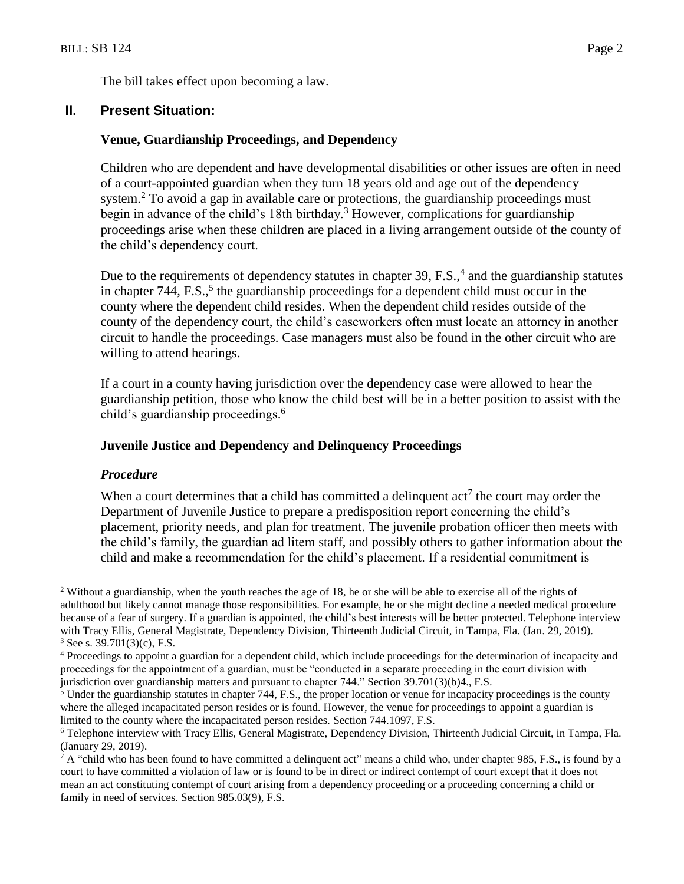The bill takes effect upon becoming a law.

# **II. Present Situation:**

## **Venue, Guardianship Proceedings, and Dependency**

Children who are dependent and have developmental disabilities or other issues are often in need of a court-appointed guardian when they turn 18 years old and age out of the dependency system.<sup>2</sup> To avoid a gap in available care or protections, the guardianship proceedings must begin in advance of the child's 18th birthday.<sup>3</sup> However, complications for guardianship proceedings arise when these children are placed in a living arrangement outside of the county of the child's dependency court.

Due to the requirements of dependency statutes in chapter  $39, F.S.,<sup>4</sup>$  and the guardianship statutes in chapter  $744$ , F.S.,<sup>5</sup> the guardianship proceedings for a dependent child must occur in the county where the dependent child resides. When the dependent child resides outside of the county of the dependency court, the child's caseworkers often must locate an attorney in another circuit to handle the proceedings. Case managers must also be found in the other circuit who are willing to attend hearings.

If a court in a county having jurisdiction over the dependency case were allowed to hear the guardianship petition, those who know the child best will be in a better position to assist with the child's guardianship proceedings. 6

#### **Juvenile Justice and Dependency and Delinquency Proceedings**

#### *Procedure*

 $\overline{a}$ 

When a court determines that a child has committed a delinquent  $act<sup>7</sup>$  the court may order the Department of Juvenile Justice to prepare a predisposition report concerning the child's placement, priority needs, and plan for treatment. The juvenile probation officer then meets with the child's family, the guardian ad litem staff, and possibly others to gather information about the child and make a recommendation for the child's placement. If a residential commitment is

<sup>&</sup>lt;sup>2</sup> Without a guardianship, when the youth reaches the age of 18, he or she will be able to exercise all of the rights of adulthood but likely cannot manage those responsibilities. For example, he or she might decline a needed medical procedure because of a fear of surgery. If a guardian is appointed, the child's best interests will be better protected. Telephone interview with Tracy Ellis, General Magistrate, Dependency Division, Thirteenth Judicial Circuit, in Tampa, Fla. (Jan. 29, 2019). <sup>3</sup> See s. 39.701(3)(c), F.S.

<sup>4</sup> Proceedings to appoint a guardian for a dependent child, which include proceedings for the determination of incapacity and proceedings for the appointment of a guardian, must be "conducted in a separate proceeding in the court division with jurisdiction over guardianship matters and pursuant to chapter 744." Section 39.701(3)(b)4., F.S.

<sup>&</sup>lt;sup>5</sup> Under the guardianship statutes in chapter 744, F.S., the proper location or venue for incapacity proceedings is the county where the alleged incapacitated person resides or is found. However, the venue for proceedings to appoint a guardian is limited to the county where the incapacitated person resides. Section 744.1097, F.S.

<sup>6</sup> Telephone interview with Tracy Ellis, General Magistrate, Dependency Division, Thirteenth Judicial Circuit, in Tampa, Fla. (January 29, 2019).

<sup>&</sup>lt;sup>7</sup> A "child who has been found to have committed a delinquent act" means a child who, under chapter 985, F.S., is found by a court to have committed a violation of law or is found to be in direct or indirect contempt of court except that it does not mean an act constituting contempt of court arising from a dependency proceeding or a proceeding concerning a child or family in need of services. Section 985.03(9), F.S.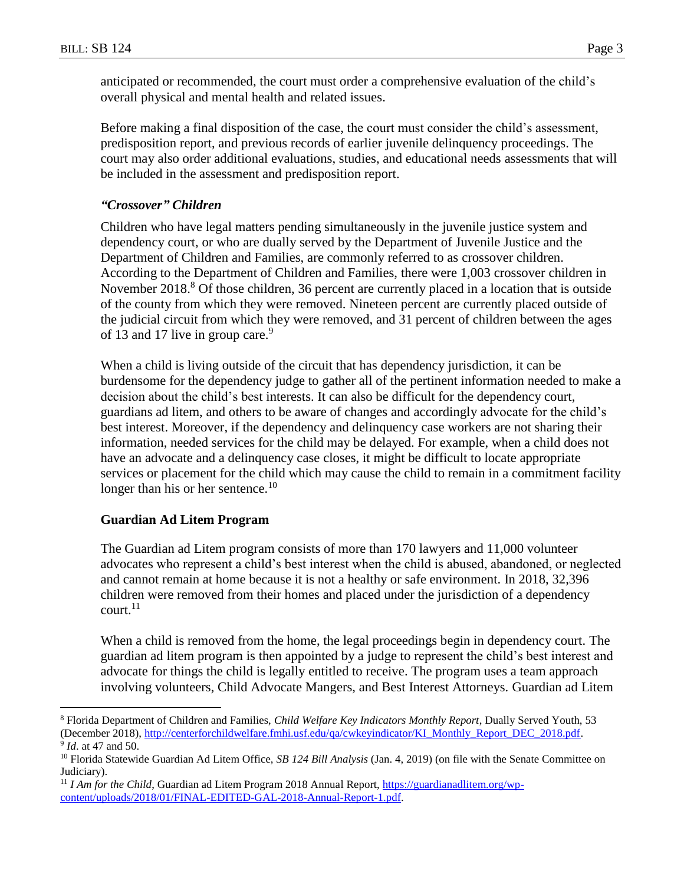anticipated or recommended, the court must order a comprehensive evaluation of the child's overall physical and mental health and related issues.

Before making a final disposition of the case, the court must consider the child's assessment, predisposition report, and previous records of earlier juvenile delinquency proceedings. The court may also order additional evaluations, studies, and educational needs assessments that will be included in the assessment and predisposition report.

## *"Crossover" Children*

Children who have legal matters pending simultaneously in the juvenile justice system and dependency court, or who are dually served by the Department of Juvenile Justice and the Department of Children and Families, are commonly referred to as crossover children. According to the Department of Children and Families, there were 1,003 crossover children in November 2018.<sup>8</sup> Of those children, 36 percent are currently placed in a location that is outside of the county from which they were removed. Nineteen percent are currently placed outside of the judicial circuit from which they were removed, and 31 percent of children between the ages of 13 and 17 live in group care.<sup>9</sup>

When a child is living outside of the circuit that has dependency jurisdiction, it can be burdensome for the dependency judge to gather all of the pertinent information needed to make a decision about the child's best interests. It can also be difficult for the dependency court, guardians ad litem, and others to be aware of changes and accordingly advocate for the child's best interest. Moreover, if the dependency and delinquency case workers are not sharing their information, needed services for the child may be delayed. For example, when a child does not have an advocate and a delinquency case closes, it might be difficult to locate appropriate services or placement for the child which may cause the child to remain in a commitment facility longer than his or her sentence.<sup>10</sup>

## **Guardian Ad Litem Program**

The Guardian ad Litem program consists of more than 170 lawyers and 11,000 volunteer advocates who represent a child's best interest when the child is abused, abandoned, or neglected and cannot remain at home because it is not a healthy or safe environment. In 2018, 32,396 children were removed from their homes and placed under the jurisdiction of a dependency court. $11$ 

When a child is removed from the home, the legal proceedings begin in dependency court. The guardian ad litem program is then appointed by a judge to represent the child's best interest and advocate for things the child is legally entitled to receive. The program uses a team approach involving volunteers, Child Advocate Mangers, and Best Interest Attorneys. Guardian ad Litem

 $\overline{a}$ 

<sup>8</sup> Florida Department of Children and Families, *Child Welfare Key Indicators Monthly Report*, Dually Served Youth, 53 (December 2018), [http://centerforchildwelfare.fmhi.usf.edu/qa/cwkeyindicator/KI\\_Monthly\\_Report\\_DEC\\_2018.pdf.](http://centerforchildwelfare.fmhi.usf.edu/qa/cwkeyindicator/KI_Monthly_Report_DEC_2018.pdf)

<sup>9</sup> *Id*. at 47 and 50.

<sup>10</sup> Florida Statewide Guardian Ad Litem Office, *SB 124 Bill Analysis* (Jan. 4, 2019) (on file with the Senate Committee on Judiciary).

<sup>11</sup> *I Am for the Child*, Guardian ad Litem Program 2018 Annual Report, [https://guardianadlitem.org/wp](https://guardianadlitem.org/wp-content/uploads/2018/01/FINAL-EDITED-GAL-2018-Annual-Report-1.pdf)[content/uploads/2018/01/FINAL-EDITED-GAL-2018-Annual-Report-1.pdf.](https://guardianadlitem.org/wp-content/uploads/2018/01/FINAL-EDITED-GAL-2018-Annual-Report-1.pdf)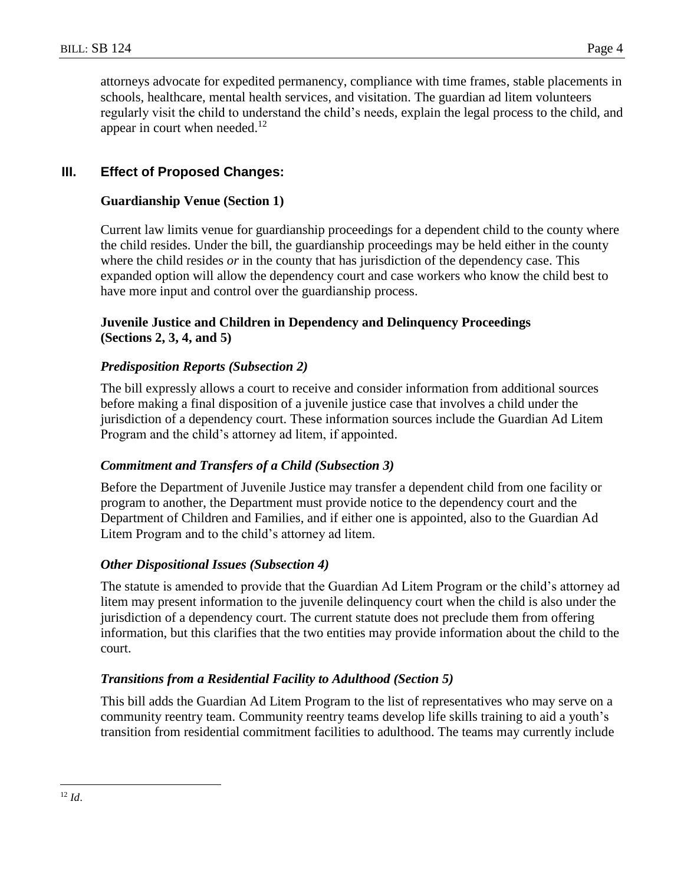attorneys advocate for expedited permanency, compliance with time frames, stable placements in schools, healthcare, mental health services, and visitation. The guardian ad litem volunteers regularly visit the child to understand the child's needs, explain the legal process to the child, and appear in court when needed. $12$ 

# **III. Effect of Proposed Changes:**

# **Guardianship Venue (Section 1)**

Current law limits venue for guardianship proceedings for a dependent child to the county where the child resides. Under the bill, the guardianship proceedings may be held either in the county where the child resides *or* in the county that has jurisdiction of the dependency case. This expanded option will allow the dependency court and case workers who know the child best to have more input and control over the guardianship process.

# **Juvenile Justice and Children in Dependency and Delinquency Proceedings (Sections 2, 3, 4, and 5)**

# *Predisposition Reports (Subsection 2)*

The bill expressly allows a court to receive and consider information from additional sources before making a final disposition of a juvenile justice case that involves a child under the jurisdiction of a dependency court. These information sources include the Guardian Ad Litem Program and the child's attorney ad litem, if appointed.

# *Commitment and Transfers of a Child (Subsection 3)*

Before the Department of Juvenile Justice may transfer a dependent child from one facility or program to another, the Department must provide notice to the dependency court and the Department of Children and Families, and if either one is appointed, also to the Guardian Ad Litem Program and to the child's attorney ad litem.

## *Other Dispositional Issues (Subsection 4)*

The statute is amended to provide that the Guardian Ad Litem Program or the child's attorney ad litem may present information to the juvenile delinquency court when the child is also under the jurisdiction of a dependency court. The current statute does not preclude them from offering information, but this clarifies that the two entities may provide information about the child to the court.

# *Transitions from a Residential Facility to Adulthood (Section 5)*

This bill adds the Guardian Ad Litem Program to the list of representatives who may serve on a community reentry team. Community reentry teams develop life skills training to aid a youth's transition from residential commitment facilities to adulthood. The teams may currently include

 $\overline{a}$  $12$  *Id.*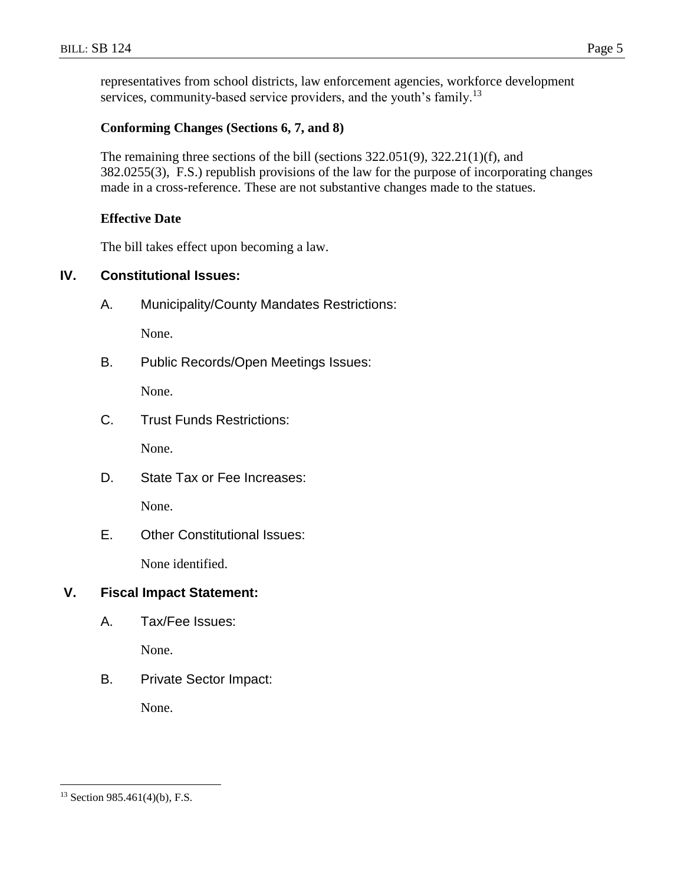representatives from school districts, law enforcement agencies, workforce development services, community-based service providers, and the youth's family.<sup>13</sup>

## **Conforming Changes (Sections 6, 7, and 8)**

The remaining three sections of the bill (sections 322.051(9), 322.21(1)(f), and 382.0255(3), F.S.) republish provisions of the law for the purpose of incorporating changes made in a cross-reference. These are not substantive changes made to the statues.

#### **Effective Date**

The bill takes effect upon becoming a law.

## **IV. Constitutional Issues:**

A. Municipality/County Mandates Restrictions:

None.

B. Public Records/Open Meetings Issues:

None.

C. Trust Funds Restrictions:

None.

D. State Tax or Fee Increases:

None.

E. Other Constitutional Issues:

None identified.

# **V. Fiscal Impact Statement:**

A. Tax/Fee Issues:

None.

B. Private Sector Impact:

None.

 $\overline{a}$ 

 $13$  Section 985.461(4)(b), F.S.